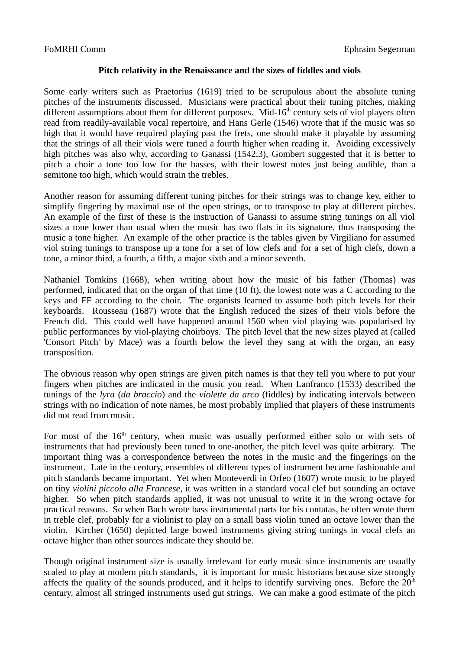## **Pitch relativity in the Renaissance and the sizes of fiddles and viols**

Some early writers such as Praetorius (1619) tried to be scrupulous about the absolute tuning pitches of the instruments discussed. Musicians were practical about their tuning pitches, making different assumptions about them for different purposes. Mid- $16<sup>th</sup>$  century sets of viol players often read from readily-available vocal repertoire, and Hans Gerle (1546) wrote that if the music was so high that it would have required playing past the frets, one should make it playable by assuming that the strings of all their viols were tuned a fourth higher when reading it. Avoiding excessively high pitches was also why, according to Ganassi (1542,3), Gombert suggested that it is better to pitch a choir a tone too low for the basses, with their lowest notes just being audible, than a semitone too high, which would strain the trebles.

Another reason for assuming different tuning pitches for their strings was to change key, either to simplify fingering by maximal use of the open strings, or to transpose to play at different pitches. An example of the first of these is the instruction of Ganassi to assume string tunings on all viol sizes a tone lower than usual when the music has two flats in its signature, thus transposing the music a tone higher. An example of the other practice is the tables given by Virgiliano for assumed viol string tunings to transpose up a tone for a set of low clefs and for a set of high clefs, down a tone, a minor third, a fourth, a fifth, a major sixth and a minor seventh.

Nathaniel Tomkins (1668), when writing about how the music of his father (Thomas) was performed, indicated that on the organ of that time (10 ft), the lowest note was a C according to the keys and FF according to the choir. The organists learned to assume both pitch levels for their keyboards. Rousseau (1687) wrote that the English reduced the sizes of their viols before the French did. This could well have happened around 1560 when viol playing was popularised by public performances by viol-playing choirboys. The pitch level that the new sizes played at (called 'Consort Pitch' by Mace) was a fourth below the level they sang at with the organ, an easy transposition.

The obvious reason why open strings are given pitch names is that they tell you where to put your fingers when pitches are indicated in the music you read. When Lanfranco (1533) described the tunings of the *lyra* (*da braccio*) and the *violette da arco* (fiddles) by indicating intervals between strings with no indication of note names, he most probably implied that players of these instruments did not read from music.

For most of the  $16<sup>th</sup>$  century, when music was usually performed either solo or with sets of instruments that had previously been tuned to one-another, the pitch level was quite arbitrary. The important thing was a correspondence between the notes in the music and the fingerings on the instrument. Late in the century, ensembles of different types of instrument became fashionable and pitch standards became important. Yet when Monteverdi in Orfeo (1607) wrote music to be played on tiny *violini piccolo alla Francese*, it was written in a standard vocal clef but sounding an octave higher. So when pitch standards applied, it was not unusual to write it in the wrong octave for practical reasons. So when Bach wrote bass instrumental parts for his contatas, he often wrote them in treble clef, probably for a violinist to play on a small bass violin tuned an octave lower than the violin. Kircher (1650) depicted large bowed instruments giving string tunings in vocal clefs an octave higher than other sources indicate they should be.

Though original instrument size is usually irrelevant for early music since instruments are usually scaled to play at modern pitch standards, it is important for music historians because size strongly affects the quality of the sounds produced, and it helps to identify surviving ones. Before the  $20<sup>th</sup>$ century, almost all stringed instruments used gut strings. We can make a good estimate of the pitch